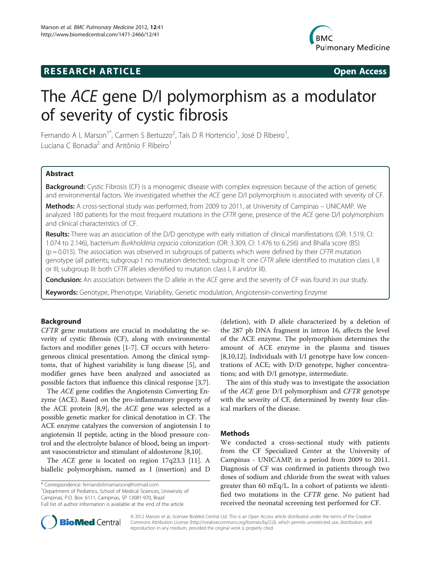## **RESEARCH ARTICLE Example 2014 CONSIDERING CONSIDERING CONSIDERING CONSIDERING CONSIDERING CONSIDERING CONSIDERING CONSIDERING CONSIDERING CONSIDERING CONSIDERING CONSIDERING CONSIDERING CONSIDERING CONSIDERING CONSIDE**



# The ACE gene D/I polymorphism as a modulator of severity of cystic fibrosis

Fernando A L Marson<sup>1\*</sup>, Carmen S Bertuzzo<sup>2</sup>, Taís D R Hortencio<sup>1</sup>, José D Ribeiro<sup>1</sup> , Luciana C Bonadia<sup>2</sup> and Antônio F Ribeiro<sup>1</sup>

## Abstract

Background: Cystic Fibrosis (CF) is a monogenic disease with complex expression because of the action of genetic and environmental factors. We investigated whether the ACE gene D/I polymorphism is associated with severity of CF.

Methods: A cross-sectional study was performed, from 2009 to 2011, at University of Campinas – UNICAMP. We analyzed 180 patients for the most frequent mutations in the CFTR gene, presence of the ACE gene D/I polymorphism and clinical characteristics of CF.

Results: There was an association of the D/D genotype with early initiation of clinical manifestations (OR: 1.519, CI: 1.074 to 2.146), bacterium Burkholderia cepacia colonization (OR: 3.309, CI: 1.476 to 6.256) and Bhalla score (BS)  $(p = 0.015)$ . The association was observed in subgroups of patients which were defined by their CFTR mutation genotype (all patients; subgroup I: no mutation detected; subgroup II: one CFTR allele identified to mutation class I, II or III; subgroup III: both CFTR alleles identified to mutation class I, II and/or III).

Conclusion: An association between the D allele in the ACE gene and the severity of CF was found in our study.

Keywords: Genotype, Phenotype, Variability, Genetic modulation, Angiotensin-converting Enzyme

## Background

CFTR gene mutations are crucial in modulating the severity of cystic fibrosis (CF), along with environmental factors and modifier genes [[1-7](#page-6-0)]. CF occurs with heterogeneous clinical presentation. Among the clinical symptoms, that of highest variability is lung disease [\[5](#page-6-0)], and modifier genes have been analyzed and associated as possible factors that influence this clinical response [\[3,7](#page-6-0)].

The ACE gene codifies the Angiotensin Converting Enzyme (ACE). Based on the pro-inflammatory property of the ACE protein [[8,9\]](#page-6-0), the ACE gene was selected as a possible genetic marker for clinical denotation in CF. The ACE enzyme catalyzes the conversion of angiotensin I to angiotensin II peptide, acting in the blood pressure control and the electrolyte balance of blood, being an important vasoconstrictor and stimulant of aldosterone [[8,10](#page-6-0)].

The ACE gene is located on region 17q23.3 [[11](#page-6-0)]. A biallelic polymorphism, named as I (insertion) and D

\* Correspondence: [fernandolimamarson@hotmail.com](mailto:fernandolimamarson@hotmail.com) <sup>1</sup>

<sup>1</sup>Department of Pediatrics, School of Medical Sciences, University of Campinas, P.O. Box: 6111, Campinas, SP 13081-970, Brazil

(deletion), with D allele characterized by a deletion of the 287 pb DNA fragment in intron 16, affects the level of the ACE enzyme. The polymorphism determines the amount of ACE enzyme in the plasma and tissues [[8,10,12\]](#page-6-0). Individuals with I/I genotype have low concentrations of ACE; with D/D genotype, higher concentrations; and with D/I genotype, intermediate.

The aim of this study was to investigate the association of the ACE gene D/I polymorphism and CFTR genotype with the severity of CF, determined by twenty four clinical markers of the disease.

## **Methods**

We conducted a cross-sectional study with patients from the CF Specialized Center at the University of Campinas - UNICAMP, in a period from 2009 to 2011. Diagnosis of CF was confirmed in patients through two doses of sodium and chloride from the sweat with values greater than 60 mEq/L. In a cohort of patients we identified two mutations in the CFTR gene. No patient had received the neonatal screening test performed for CF.



© 2012 Marson et al.; licensee BioMed Central Ltd. This is an Open Access article distributed under the terms of the Creative Commons Attribution License [\(http://creativecommons.org/licenses/by/2.0\)](http://creativecommons.org/licenses/by/2.0), which permits unrestricted use, distribution, and reproduction in any medium, provided the original work is properly cited.

Full list of author information is available at the end of the article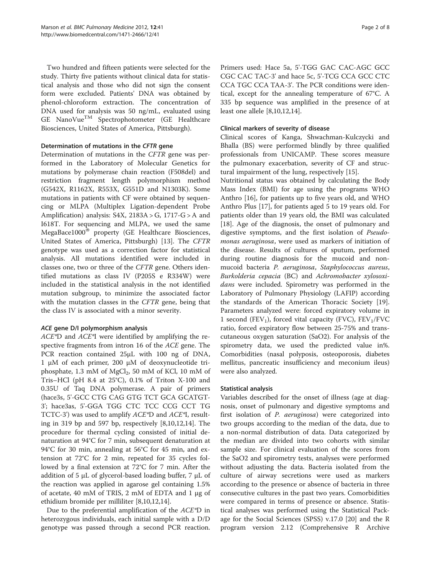Two hundred and fifteen patients were selected for the study. Thirty five patients without clinical data for statistical analysis and those who did not sign the consent form were excluded. Patients' DNA was obtained by phenol-chloroform extraction. The concentration of DNA used for analysis was 50 ng/mL, evaluated using  $GE$  NanoVue $^{TM}$  Spectrophotometer (GE Healthcare Biosciences, United States of America, Pittsburgh).

## Determination of mutations in the CFTR gene

Determination of mutations in the CFTR gene was performed in the Laboratory of Molecular Genetics for mutations by polymerase chain reaction (F508del) and restriction fragment length polymorphism method (G542X, R1162X, R553X, G551D and N1303K). Some mutations in patients with CF were obtained by sequencing or MLPA (Multiplex Ligation-dependent Probe Amplification) analysis:  $S4X$ ,  $2183A > G$ ,  $1717-G > A$  and I618T. For sequencing and MLPA, we used the same MegaBace1000<sup>®</sup> property (GE Healthcare Biosciences, United States of America, Pittsburgh) [[13\]](#page-6-0). The CFTR genotype was used as a correction factor for statistical analysis. All mutations identified were included in classes one, two or three of the CFTR gene. Others identified mutations as class IV (P205S e R334W) were included in the statistical analysis in the not identified mutation subgroup, to minimize the associated factor with the mutation classes in the CFTR gene, being that the class IV is associated with a minor severity.

## ACE gene D/I polymorphism analysis

ACE\*D and ACE\*I were identified by amplifying the respective fragments from intron 16 of the ACE gene. The PCR reaction contained 25μL with 100 ng of DNA, 1 μM of each primer, 200 μM of deoxynucleotide triphosphate, 1.3 mM of  $MgCl<sub>2</sub>$ , 50 mM of KCl, 10 mM of Tris–HCl (pH 8.4 at  $25^{\circ}$ C), 0.1% of Triton X-100 and 0.35U of Taq DNA polymerase. A pair of primers (hace3s, 5'-GCC CTG CAG GTG TCT GCA GCATGT-3'; hace3as, 5'-GGA TGG CTC TCC CCG CCT TG TCTC-3') was used to amplify  $ACE^*D$  and  $ACE^*I$ , resulting in 319 bp and 597 bp, respectively [[8,10,12](#page-6-0),[14](#page-7-0)]. The procedure for thermal cycling consisted of initial denaturation at 94°C for 7 min, subsequent denaturation at 94°C for 30 min, annealing at 56°C for 45 min, and extension at 72°C for 2 min, repeated for 35 cycles followed by a final extension at 72°C for 7 min. After the addition of 5 μL of glycerol-based loading buffer, 7 μL of the reaction was applied in agarose gel containing 1.5% of acetate, 40 mM of TRIS, 2 mM of EDTA and 1 μg of ethidium bromide per milliliter [[8,10,12,](#page-6-0)[14](#page-7-0)].

Due to the preferential amplification of the ACE\*D in heterozygous individuals, each initial sample with a D/D genotype was passed through a second PCR reaction.

Primers used: Hace 5a, 5'-TGG GAC CAC-AGC GCC CGC CAC TAC-3' and hace 5c, 5'-TCG CCA GCC CTC CCA TGC CCA TAA-3'. The PCR conditions were identical, except for the annealing temperature of 67°C. A 335 bp sequence was amplified in the presence of at least one allele [[8,10,12,](#page-6-0)[14\]](#page-7-0).

## Clinical markers of severity of disease

Clinical scores of Kanga, Shwachman-Kulczycki and Bhalla (BS) were performed blindly by three qualified professionals from UNICAMP. These scores measure the pulmonary exacerbation, severity of CF and structural impairment of the lung, respectively [\[15](#page-7-0)].

Nutritional status was obtained by calculating the Body Mass Index (BMI) for age using the programs WHO Anthro [[16\]](#page-7-0), for patients up to five years old, and WHO Anthro Plus [[17\]](#page-7-0), for patients aged 5 to 19 years old. For patients older than 19 years old, the BMI was calculated [[18\]](#page-7-0). Age of the diagnosis, the onset of pulmonary and digestive symptoms, and the first isolation of Pseudomonas aeruginosa, were used as markers of initiation of the disease. Results of cultures of sputum, performed during routine diagnosis for the mucoid and nonmucoid bacteria P. aeruginosa, Staphylococcus aureus, Burkolderia cepacia (BC) and Achromobacter xylosoxidans were included. Spirometry was performed in the Laboratory of Pulmonary Physiology (LAFIP) according the standards of the American Thoracic Society [\[19](#page-7-0)]. Parameters analyzed were: forced expiratory volume in 1 second (FEV<sub>1</sub>), forced vital capacity (FVC),  $FEV<sub>1</sub>/FVC$ ratio, forced expiratory flow between 25-75% and transcutaneous oxygen saturation (SaO2). For analysis of the spirometry data, we used the predicted value in%. Comorbidities (nasal polyposis, osteoporosis, diabetes mellitus, pancreatic insufficiency and meconium ileus) were also analyzed.

## Statistical analysis

Variables described for the onset of illness (age at diagnosis, onset of pulmonary and digestive symptoms and first isolation of *P. aeruginosa*) were categorized into two groups according to the median of the data, due to a non-normal distribution of data. Data categorized by the median are divided into two cohorts with similar sample size. For clinical evaluation of the scores from the SaO2 and spirometry tests, analyses were performed without adjusting the data. Bacteria isolated from the culture of airway secretions were used as markers according to the presence or absence of bacteria in three consecutive cultures in the past two years. Comorbidities were compared in terms of presence or absence. Statistical analyses was performed using the Statistical Package for the Social Sciences (SPSS) v.17.0 [[20](#page-7-0)] and the R program version 2.12 (Comprehensive R Archive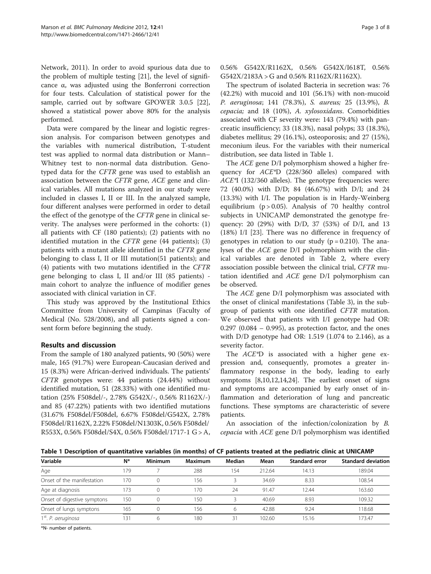Network, 2011). In order to avoid spurious data due to the problem of multiple testing [[21\]](#page-7-0), the level of significance α, was adjusted using the Bonferroni correction for four tests. Calculation of statistical power for the sample, carried out by software GPOWER 3.0.5 [\[22](#page-7-0)], showed a statistical power above 80% for the analysis performed.

Data were compared by the linear and logistic regression analysis. For comparison between genotypes and the variables with numerical distribution, T-student test was applied to normal data distribution or Mann– Whitney test to non-normal data distribution. Genotyped data for the CFTR gene was used to establish an association between the CFTR gene, ACE gene and clinical variables. All mutations analyzed in our study were included in classes I, II or III. In the analyzed sample, four different analyses were performed in order to detail the effect of the genotype of the CFTR gene in clinical severity. The analyses were performed in the cohorts: (1) all patients with CF (180 patients); (2) patients with no identified mutation in the CFTR gene (44 patients); (3) patients with a mutant allele identified in the CFTR gene belonging to class I, II or III mutation(51 patients); and (4) patients with two mutations identified in the CFTR gene belonging to class I, II and/or III (85 patients) main cohort to analyze the influence of modifier genes associated with clinical variation in CF.

This study was approved by the Institutional Ethics Committee from University of Campinas (Faculty of Medical (No. 528/2008), and all patients signed a consent form before beginning the study.

## Results and discussion

From the sample of 180 analyzed patients, 90 (50%) were male, 165 (91.7%) were European-Caucasian derived and 15 (8.3%) were African-derived individuals. The patients' CFTR genotypes were: 44 patients (24.44%) without identified mutation, 51 (28.33%) with one identified mutation (25% F508del/-, 2.78% G542X/-, 0.56% R1162X/-) and 85 (47.22%) patients with two identified mutations (31.67% F508del/F508del, 6.67% F508del/G542X, 2.78% F508del/R1162X, 2.22% F508del/N1303K, 0.56% F508del/ R553X, 0.56% F508del/S4X, 0.56% F508del/1717-1 G > A,

The spectrum of isolated Bacteria in secretion was: 76 (42.2%) with mucoid and 101 (56.1%) with non-mucoid P. aeruginosa; 141 (78.3%), S. aureus; 25 (13.9%), B. cepacia; and 18 (10%), A. xylosoxidans. Comorbidities associated with CF severity were: 143 (79.4%) with pancreatic insufficiency; 33 (18.3%), nasal polyps; 33 (18.3%), diabetes mellitus; 29 (16.1%), osteoporosis; and 27 (15%), meconium ileus. For the variables with their numerical distribution, see data listed in Table 1.

The ACE gene D/I polymorphism showed a higher frequency for ACE\*D (228/360 alleles) compared with ACE\*I (132/360 alleles). The genotype frequencies were: 72 (40.0%) with D/D; 84 (46.67%) with D/I; and 24 (13.3%) with I/I. The population is in Hardy-Weinberg equilibrium  $(p > 0.05)$ . Analysis of 70 healthy control subjects in UNICAMP demonstrated the genotype frequency: 20 (29%) with D/D, 37 (53%) of D/I, and 13 (18%) I/I [\[23\]](#page-7-0). There was no difference in frequency of genotypes in relation to our study  $(p = 0.210)$ . The analyses of the ACE gene D/I polymorphism with the clinical variables are denoted in Table [2](#page-3-0), where every association possible between the clinical trial, CFTR mutation identified and ACE gene D/I polymorphism can be observed.

The ACE gene D/I polymorphism was associated with the onset of clinical manifestations (Table [3\)](#page-4-0), in the subgroup of patients with one identified CFTR mutation. We observed that patients with I/I genotype had OR:  $0.297$   $(0.084 - 0.995)$ , as protection factor, and the ones with D/D genotype had OR: 1.519 (1.074 to 2.146), as a severity factor.

The ACE\*D is associated with a higher gene expression and, consequently, promotes a greater inflammatory response in the body, leading to early symptoms [[8,10,12](#page-6-0),[14](#page-7-0),[24](#page-7-0)]. The earliest onset of signs and symptoms are accompanied by early onset of inflammation and deterioration of lung and pancreatic functions. These symptoms are characteristic of severe patients.

An association of the infection/colonization by B. cepacia with ACE gene D/I polymorphism was identified

Table 1 Description of quantitative variables (in months) of CF patients treated at the pediatric clinic at UNICAMP

| Variable                        | $N^*$ | <b>Minimum</b> | <b>Maximum</b> | Median | Mean   | <b>Standard error</b> | <b>Standard deviation</b> |
|---------------------------------|-------|----------------|----------------|--------|--------|-----------------------|---------------------------|
| Age                             | 179   |                | 288            | 154    | 212.64 | 14.13                 | 189.04                    |
| Onset of the manifestation      | 170   |                | 156            |        | 34.69  | 8.33                  | 108.54                    |
| Age at diagnosis                | 173   |                | 170            | 24     | 91.47  | 12.44                 | 163.60                    |
| Onset of digestive symptons     | 150   |                | 150            |        | 40.69  | 8.93                  | 109.32                    |
| Onset of lungs symptons         | 165   |                | 156            | 6      | 42.88  | 9.24                  | 18.68                     |
| 1 <sup>st</sup> . P. aeruginosa | 131   | 6              | 180            | 31     | 102.60 | 15.16                 | 173.47                    |

\*N- number of patients.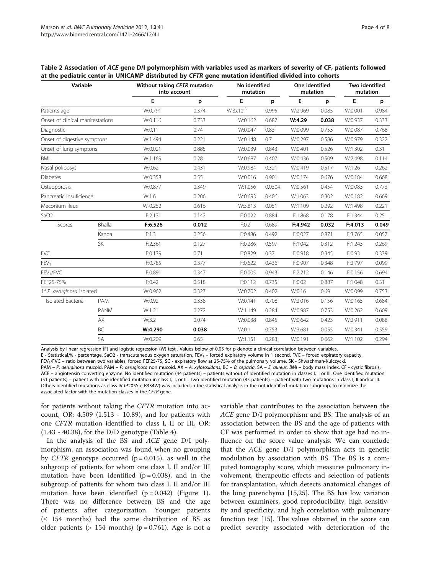| Variable                         |               | Without taking CFTR mutation<br>into account | No identified<br>mutation |                      | One identified<br>mutation |         | Two identified<br>mutation |         |       |
|----------------------------------|---------------|----------------------------------------------|---------------------------|----------------------|----------------------------|---------|----------------------------|---------|-------|
|                                  |               | E                                            | p                         | E                    | p                          | E       | p                          | E       | p     |
| Patients age                     |               | W:0.791                                      | 0.374                     | $W:3 \times 10^{-5}$ | 0.995                      | W:2.969 | 0.085                      | W:0.001 | 0.984 |
| Onset of clinical manifestations |               | W:0.116                                      | 0.733                     | W:0.162              | 0.687                      | W:4.29  | 0.038                      | W:0.937 | 0.333 |
| Diagnostic                       |               | W:0.11                                       | 0.74                      | W:0.047              | 0.83                       | W:0.099 | 0.753                      | W:0.087 | 0.768 |
| Onset of digestive symptons      |               | W:1.494                                      | 0.221                     | W:0.148              | 0.7                        | W:0.297 | 0.586                      | W:0.979 | 0.322 |
| Onset of lung symptons           |               | W:0.021                                      | 0.885                     | W:0.039              | 0.843                      | W:0.401 | 0.526                      | W:1.302 | 0.31  |
| <b>BMI</b>                       |               | W:1.169                                      | 0.28                      | W:0.687              | 0.407                      | W:0.436 | 0.509                      | W:2.498 | 0.114 |
| Nasal poliposys                  |               | W:0.62                                       | 0.431                     | W:0.984              | 0.321                      | W:0.419 | 0.517                      | W:1.26  | 0.262 |
| <b>Diabetes</b>                  |               | W:0.358                                      | 0.55                      | W:0.016              | 0.901                      | W:0.174 | 0.676                      | W:0.184 | 0.668 |
| Osteoporosis                     |               | W:0.877                                      | 0.349                     | W:1.056              | 0.0304                     | W:0.561 | 0.454                      | W:0.083 | 0.773 |
| Pancreatic insuficience          |               | W:1.6                                        | 0.206                     | W:0.693              | 0.406                      | W:1.063 | 0.302                      | W:0.182 | 0.669 |
| Meconium ileus                   |               | W-0.252                                      | 0.616                     | W:3.813              | 0.051                      | W:1.109 | 0.292                      | W:1.498 | 0.221 |
| SaO <sub>2</sub>                 |               | F:2.131                                      | 0.142                     | F:0.022              | 0.884                      | F:1.868 | 0.178                      | F:1.344 | 0.25  |
| Scores                           | <b>Bhalla</b> | F:6.526                                      | 0.012                     | F:0.2                | 0.689                      | F:4.942 | 0.032                      | F:4.013 | 0.049 |
|                                  | Kanga         | F:1.3                                        | 0.256                     | F:0.486              | 0.492                      | F:0.027 | 0.871                      | F:3.765 | 0.057 |
|                                  | <b>SK</b>     | F:2.361                                      | 0.127                     | F:0.286              | 0.597                      | F:1.042 | 0.312                      | F:1.243 | 0.269 |
| <b>FVC</b>                       |               | F:0.139                                      | 0.71                      | F:0.829              | 0.37                       | F:0.918 | 0.345                      | F:0.93  | 0.339 |
| FEV <sub>1</sub>                 |               | F:0.785                                      | 0.377                     | F:0.622              | 0.436                      | F:0.907 | 0.348                      | F:2.797 | 0.099 |
| FEV <sub>1</sub> /FVC            |               | F:0.891                                      | 0.347                     | F:0.005              | 0.943                      | F:2.212 | 0.146                      | F:0.156 | 0.694 |
| FEF25-75%                        |               | F:0.42                                       | 0.518                     | F:0.112              | 0.735                      | F:0.02  | 0.887                      | F:1.048 | 0.31  |
| 1ª P. aeruginosa isolated        |               | W:0.962                                      | 0.327                     | W:0.702              | 0.402                      | W:0.16  | 0.69                       | W:0.099 | 0.753 |
| Isolated Bacteria                | PAM           | W:0.92                                       | 0.338                     | W:0.141              | 0.708                      | W:2.016 | 0.156                      | W:0.165 | 0.684 |
|                                  | PANM          | W:1.21                                       | 0.272                     | W:1.149              | 0.284                      | W:0.987 | 0.753                      | W:0.262 | 0.609 |
|                                  | <b>AX</b>     | W:3.2                                        | 0.074                     | W:0.038              | 0.845                      | W:0.642 | 0.423                      | W:2.911 | 0.088 |
|                                  | BC            | W:4.290                                      | 0.038                     | W:0.1                | 0.753                      | W:3.681 | 0.055                      | W:0.341 | 0.559 |
|                                  | SA            | W:0.209                                      | 0.65                      | W:1.151              | 0.283                      | W:0.191 | 0.662                      | W:1.102 | 0.294 |

<span id="page-3-0"></span>Table 2 Association of ACE gene D/I polymorphism with variables used as markers of severity of CF, patients followed at the pediatric center in UNICAMP distributed by CFTR gene mutation identified divided into cohorts

Analysis by linear regression (F) and logistic regression (W) test . Values below of 0.05 for p denote a clinical correlation between variables.

E - Statistical,% - percentage, SaO2 - transcutaneous oxygen saturation, FEV<sub>1</sub> – forced expiratory volume in 1 second, FVC – forced expiratory capacity,

FEV1/FVC – ratio between two variables, forced FEF25-75, SC - expiratory flow at 25-75% of the pulmonary volume, SK - Shwachman-Kulczycki,

PAM - P. aeruginosa mucoid, PAM - P. aeruginosa non mucoid, AX - A. xylosoxidans, BC - B. cepacia, SA - S. aureus, BMI - body mass index, CF - cystic fibrosis, ACE – angiotensin converting enzyme. No identified mutation (44 patients) – patients without of identified mutation in classes I, II or III. One identified mutation (51 patients) – patient with one identified mutation in class I, II, or III. Two identified mutation (85 patients) – patient with two mutations in class I, II and/or III. Others identified mutations as class IV (P205S e R334W) was included in the statistical analysis in the not identified mutation subgroup, to minimize the associated factor with the mutation classes in the CFTR gene.

for patients without taking the CFTR mutation into account, OR: 4.509 (1.513 - 10.89), and for patients with one CFTR mutation identified to class I, II or III, OR: (1.43 - 40.38), for the D/D genotype (Table [4](#page-4-0)).

In the analysis of the BS and ACE gene D/I polymorphism, an association was found when no grouping by *CFTR* genotype occurred ( $p = 0.015$ ), as well in the subgroup of patients for whom one class I, II and/or III mutation have been identified  $(p = 0.038)$ , and in the subgroup of patients for whom two class I, II and/or III mutation have been identified  $(p = 0.042)$  (Figure [1](#page-5-0)). There was no difference between BS and the age of patients after categorization. Younger patients  $(≤ 154 months)$  had the same distribution of BS as older patients ( $> 154$  months) ( $p = 0.761$ ). Age is not a variable that contributes to the association between the ACE gene D/I polymorphism and BS. The analysis of an association between the BS and the age of patients with CF was performed in order to show that age had no influence on the score value analysis. We can conclude that the ACE gene D/I polymorphism acts in genetic modulation by association with BS. The BS is a computed tomography score, which measures pulmonary involvement, therapeutic effects and selection of patients for transplantation, which detects anatomical changes of the lung parenchyma [[15](#page-7-0),[25](#page-7-0)]. The BS has low variation between examiners, good reproducibility, high sensitivity and specificity, and high correlation with pulmonary function test [\[15\]](#page-7-0). The values obtained in the score can predict severity associated with deterioration of the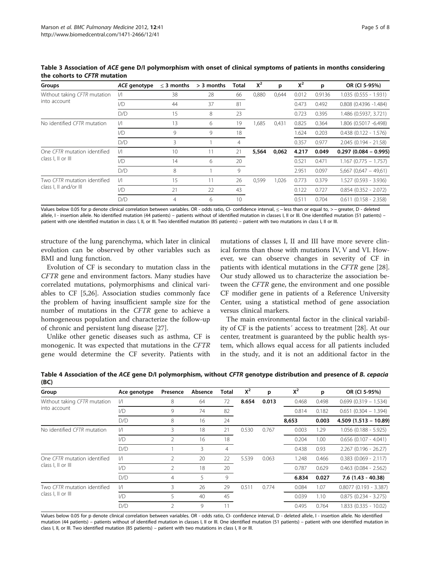| Groups                                                 | ACE genotype  | $\leq$ 3 months | > 3 months | Total | $X^2$ | p     | $X^2$ | p      | OR (CI 5-95%)             |
|--------------------------------------------------------|---------------|-----------------|------------|-------|-------|-------|-------|--------|---------------------------|
| Without taking CFTR mutation<br>into account           | $\frac{1}{2}$ | 38              | 28         | 66    | 0,880 | 0,644 | 0.012 | 0.9136 | $1.035(0.555 - 1.931)$    |
|                                                        | 1/D           | 44              | 37         | 81    |       |       | 0.473 | 0.492  | $0.808$ (0.4396 -1.484)   |
|                                                        | D/D           | 15              | 8          | 23    |       |       | 0.723 | 0.395  | 1.486 (0.5937, 3.721)     |
| No identified CFTR mutation                            | $\frac{1}{1}$ | 13              | 6          | 19    | 1,685 | 0,431 | 0.825 | 0.364  | 1.806 (0.5017 -6.498)     |
|                                                        | 1/D           | 9               | 9          | 18    |       |       | 1.624 | 0.203  | $0.438$ $(0.122 - 1.576)$ |
|                                                        | D/D           | 3               |            | 4     |       |       | 0.357 | 0.977  | $2.045(0.194 - 21.58)$    |
| One CFTR mutation identified<br>class I, II or III     | I/I           | 10              | 11         | 21    | 5,564 | 0,062 | 4.217 | 0.049  | $0.297(0.084 - 0.995)$    |
|                                                        | 1/D           | 14              | 6          | 20    |       |       | 0.521 | 0.471  | $1.167$ (0.775 - 1.757)   |
|                                                        | D/D           | 8               |            | 9     |       |       | 2.951 | 0.097  | $5,667$ (0,647 - 49,61)   |
| Two CFTR mutation identified<br>class I, II and/or III | $\frac{1}{2}$ | 15              | 11         | 26    | 0,599 | 1.026 | 0.773 | 0.379  | 1.527 (0.593 - 3.936)     |
|                                                        | 1/D           | 21              | 22         | 43    |       |       | 0.122 | 0.727  | $0.854$ $(0.352 - 2.072)$ |
|                                                        | D/D           | $\overline{4}$  | 6          | 10    |       |       | 0.511 | 0.704  | $0.611$ (0.158 - 2.358)   |

<span id="page-4-0"></span>Table 3 Association of ACE gene D/I polymorphism with onset of clinical symptoms of patients in months considering the cohorts to CFTR mutation

Values below 0.05 for p denote clinical correlation between variables. OR - odds ratio, CI- confidence interval, ≤ – less than or equal to, > – greater, D - deleted allele, I - insertion allele. No identified mutation (44 patients) – patients without of identified mutation in classes I, II or III. One identified mutation (51 patients) – patient with one identified mutation in class I, II, or III. Two identified mutation (85 patients) – patient with two mutations in class I, II or III.

structure of the lung parenchyma, which later in clinical evolution can be observed by other variables such as BMI and lung function.

Evolution of CF is secondary to mutation class in the CFTR gene and environment factors. Many studies have correlated mutations, polymorphisms and clinical variables to CF [\[5](#page-6-0)[,26](#page-7-0)]. Association studies commonly face the problem of having insufficient sample size for the number of mutations in the CFTR gene to achieve a homogeneous population and characterize the follow-up of chronic and persistent lung disease [[27](#page-7-0)].

Unlike other genetic diseases such as asthma, CF is monogenic. It was expected that mutations in the CFTR gene would determine the CF severity. Patients with

mutations of classes I, II and III have more severe clinical forms than those with mutations IV, V and VI. However, we can observe changes in severity of CF in patients with identical mutations in the CFTR gene [\[28](#page-7-0)]. Our study allowed us to characterize the association between the CFTR gene, the environment and one possible CF modifier gene in patients of a Reference University Center, using a statistical method of gene association versus clinical markers.

The main environmental factor in the clinical variability of CF is the patients´ access to treatment [\[28](#page-7-0)]. At our center, treatment is guaranteed by the public health system, which allows equal access for all patients included in the study, and it is not an additional factor in the

| Group                                              | Ace genotype  | Presence       | Absence | Total | $X^2$          | р     | $X^2$ | p     | OR (CI 5-95%)             |
|----------------------------------------------------|---------------|----------------|---------|-------|----------------|-------|-------|-------|---------------------------|
| Without taking CFTR mutation<br>into account       | $\frac{1}{1}$ | 8              | 64      | 72    | 8.654          | 0.013 | 0.468 | 0.498 | $0.699(0.319 - 1.534)$    |
|                                                    | 1/D           | 9              | 74      | 82    |                |       | 0.814 | 0.182 | $0.651$ (0.304 - 1.394)   |
|                                                    | D/D           | 8              | 16      | 24    |                |       | 8,653 | 0.003 | $4.509(1.513 - 10.89)$    |
| No identified CFTR mutation                        | $\frac{1}{1}$ | 3              | 18      | 21    | 0.530<br>0.767 |       | 0.003 | 1.29  | $1.056$ (0.188 - 5.925)   |
|                                                    | VD            | 2              | 16      | 18    |                |       | 0.204 | 1.00  | $0.656$ (0.107 - 4.041)   |
|                                                    | D/D           |                | 3       | 4     |                |       | 0.438 | 0.93  | $2.267$ (0.196 - 26.27)   |
| One CFTR mutation identified<br>class I, II or III | /             | $\overline{2}$ | 20      | 22    | 5.539          | 0.063 | 1.248 | 0.466 | $0.383$ $(0.069 - 2.117)$ |
|                                                    | VD            | 2              | 18      | 20    |                |       | 0.787 | 0.629 | $0.463$ (0.084 - 2.562)   |
|                                                    | D/D           | $\overline{4}$ | 5       | 9     |                |       | 6.834 | 0.027 | 7.6 (1.43 - 40.38)        |
| Two CFTR mutation identified<br>class I, II or III | /             | 3              | 26      | 29    | 0.511          | 0.774 | 0.084 | 1.07  | $0.8077$ (0.193 - 3.387)  |
|                                                    | VD            | 5              | 40      | 45    |                |       | 0.039 | 1.10  | $0.875$ $(0.234 - 3.275)$ |
|                                                    | D/D           | $\mathfrak{D}$ | 9       |       |                |       | 0.495 | 0.764 | $1.833(0.335 - 10.02)$    |

Table 4 Association of the ACE gene D/I polymorphism, without CFTR genotype distribution and presence of B. cepacia (BC)

Values below 0.05 for p denote clinical correlation between variables. OR - odds ratio, CI- confidence interval, D - deleted allele, I - insertion allele. No identified mutation (44 patients) – patients without of identified mutation in classes I, II or III. One identified mutation (51 patients) – patient with one identified mutation in class I, II, or III. Two identified mutation (85 patients) – patient with two mutations in class I, II or III.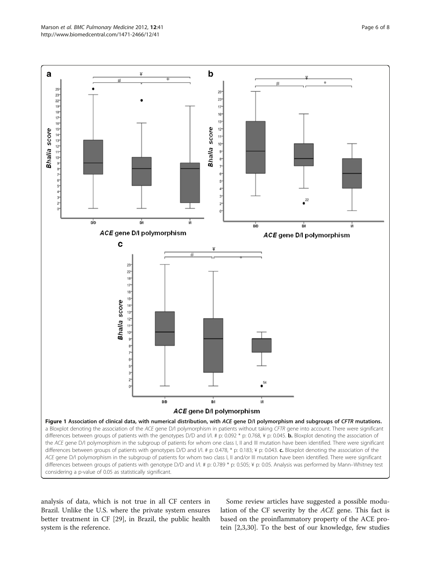<span id="page-5-0"></span>

analysis of data, which is not true in all CF centers in Brazil. Unlike the U.S. where the private system ensures better treatment in CF [\[29\]](#page-7-0), in Brazil, the public health system is the reference.

Some review articles have suggested a possible modulation of the CF severity by the ACE gene. This fact is based on the proinflammatory property of the ACE protein [\[2,3](#page-6-0)[,30](#page-7-0)]. To the best of our knowledge, few studies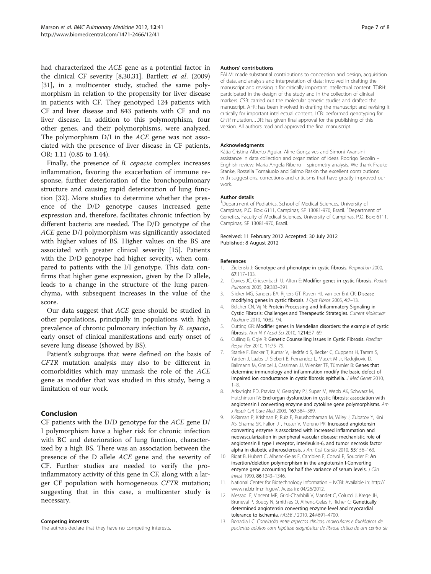<span id="page-6-0"></span>had characterized the ACE gene as a potential factor in the clinical CF severity [8[,30,31](#page-7-0)]. Bartlett et al. (2009) [[31\]](#page-7-0), in a multicenter study, studied the same polymorphism in relation to the propensity for liver disease in patients with CF. They genotyped 124 patients with CF and liver disease and 843 patients with CF and no liver disease. In addition to this polymorphism, four other genes, and their polymorphisms, were analyzed. The polymorphism D/I in the ACE gene was not associated with the presence of liver disease in CF patients, OR: 1.11 (0.85 to 1.44).

Finally, the presence of B. cepacia complex increases inflammation, favoring the exacerbation of immune response, further deterioration of the bronchopulmonary structure and causing rapid deterioration of lung function [\[32\]](#page-7-0). More studies to determine whether the presence of the D/D genotype causes increased gene expression and, therefore, facilitates chronic infection by different bacteria are needed. The D/D genotype of the ACE gene D/I polymorphism was significantly associated with higher values of BS. Higher values on the BS are associated with greater clinical severity [[15\]](#page-7-0). Patients with the D/D genotype had higher severity, when compared to patients with the I/I genotype. This data confirms that higher gene expression, given by the D allele, leads to a change in the structure of the lung parenchyma, with subsequent increases in the value of the score.

Our data suggest that ACE gene should be studied in other populations, principally in populations with high prevalence of chronic pulmonary infection by B. cepacia, early onset of clinical manifestations and early onset of severe lung disease (showed by BS).

Patient's subgroups that were defined on the basis of CFTR mutation analysis may also to be different in comorbidities which may unmask the role of the ACE gene as modifier that was studied in this study, being a limitation of our work.

## Conclusion

CF patients with the D/D genotype for the ACE gene D/ I polymorphism have a higher risk for chronic infection with BC and deterioration of lung function, characterized by a high BS. There was an association between the presence of the D allele ACE gene and the severity of CF. Further studies are needed to verify the proinflammatory activity of this gene in CF, along with a larger CF population with homogeneous CFTR mutation; suggesting that in this case, a multicenter study is necessary.

#### Competing interests

The authors declare that they have no competing interests.

#### Authors' contributions

FALM: made substantial contributions to conception and design, acquisition of data, and analysis and interpretation of data; involved in drafting the manuscript and revising it for critically important intellectual content. TDRH: participated in the design of the study and in the collection of clinical markers. CSB: carried out the molecular genetic studies and drafted the manuscript. AFR: has been involved in drafting the manuscript and revising it critically for important intellectual content. LCB: performed genotyping for CFTR mutation. JDR: has given final approval for the publishing of this version. All authors read and approved the final manuscript.

#### Acknowledgments

Kátia Cristina Alberto Aguiar, Aline Gonçalves and Simoni Avansini – assistance in data collection and organization of ideas. Rodrigo Secolin – Enghish review. Maria Angela Ribeiro – spirometry analysis. We thank Frauke Stanke, Rossella Tomaiuolo and Salmo Raskin the excellent contributions with suggestions, corrections and criticisms that have greatly improved our work.

#### Author details

<sup>1</sup>Department of Pediatrics, School of Medical Sciences, University of Campinas, P.O. Box: 6111, Campinas, SP 13081-970, Brazil. <sup>2</sup>Department of Genetics, Faculty of Medical Sciences, University of Campinas, P.O. Box: 6111, Campinas, SP 13081-970, Brazil.

#### Received: 11 February 2012 Accepted: 30 July 2012 Published: 8 August 2012

#### References

- 1. Zielenski J: Genotype and phenotype in cystic fibrosis. Respiration 2000, 67:117–133.
- 2. Davies JC, Griesenbach U, Alton E: Modifier genes in cystic fibrosis. Pediatr Pulmonol 2005, 39:383–391.
- 3. Slieker MG, Sanders EA, Rijkers GT, Ruven HJ, van der Ent CK: Disease modifying genes in cystic fibrosis. J Cyst Fibros 2005, 4:7–13.
- 4. Belcher CN, Vij N: Protein Processing and Inflammatory Signaling in Cystic Fibrosis: Challenges and Therapeutic Strategies. Current Molecular Medicine 2010, 10:82–94.
- 5. Cutting GR: Modifier genes in Mendelian disorders: the example of cystic fibrosis. Ann N Y Acad Sci 2010, 1214:57–69.
- 6. Culling B, Ogle R: Genetic Counselling Issues in Cystic Fibrosis. Paediatr Respir Rev 2010, 11:75–79.
- 7. Stanke F, Becker T, Kumar V, Hedtfeld S, Becker C, Cuppens H, Tamm S, Yarden J, Laabs U, Siebert B, Fernandez L, Macek M Jr, Radojkovic D, Ballmann M, Greipel J, Cassiman JJ, Wienker TF, Tümmler B: Genes that determine immunology and inflammation modify the basic defect of impaired ion conductance in cystic fibrosis epithelia. J Med Genet 2010, 1–8.
- 8. Arkwright PD, Pravica V, Geraghty PJ, Super M, Webb AK, Schwarz M, Hutchinson IV: End-organ dysfunction in cystic fibrosis: association with angiotensin I converting enzyme and cytokine gene polymorphisms. Am J Respir Crit Care Med 2003, 167:384–389.
- 9. K-Raman P, Krishnan P, Ruiz F, Purushothaman M, Wiley J, Zubatov Y, Kini AS, Sharma SK, Fallon JT, Fuster V, Moreno PR: Increased angiotensin converting enzyme is associated with increased inflammation and neovascularization in peripheral vascular disease: mechanistic role of angiotensin II type I receptor, interleukin-6, and tumor necrosis factor alpha in diabetic atherosclerosis. J Am Coll Cardio 2010, 55:156–163.
- 10. Rigat B, Hubert C, Alhenc-Gelas F, Cambien F, Corvol P, Soubrier F: An insertion/deletion polymorphism in the angiotensin I-Converting enzyme gene accounting for half the variance of serum levels. J Clin Invest 1990, 86:1343–1346.
- 11. National Center for Biotechnology Information NCBI: Available in: [http://](http://www.ncbi.nlm.nih.gov/) [www.ncbi.nlm.nih.gov/](http://www.ncbi.nlm.nih.gov/). Acess in: 04/26/2012.
- 12. Messadi E, Vincent MP, Griol-Charhbili V, Mandet C, Colucci J, Krege JH, Bruneval P, Bouby N, Smithies O, Alhenc-Gelas F, Richer C: Genetically determined angiotensin converting enzyme level and myocardial tolerance to ischemia. FASEB J 2010, 24:4691–4700.
- 13. Bonadia LC: Correlação entre aspectos clínicos, moleculares e fisiológicos de pacientes adultos com hipótese diagnóstica de fibrose cística de um centro de